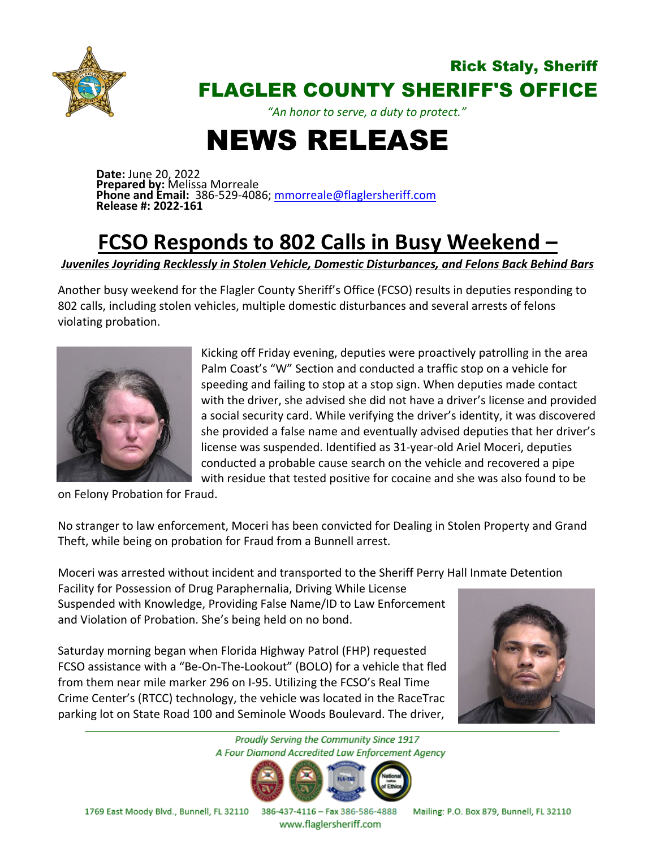

## Rick Staly, Sheriff FLAGLER COUNTY SHERIFF'S OFFICE

*"An honor to serve, a duty to protect."*

## NEWS RELEASE

**Date:** June 20, 2022 **Prepared by:** Melissa Morreale **Phone and Email:** 386-529-4086; [mmorreale@flaglersheriff.com](mailto:mmorreale@flaglersheriff.com) **Release #: 2022-161**

## **FCSO Responds to 802 Calls in Busy Weekend –**

*Juveniles Joyriding Recklessly in Stolen Vehicle, Domestic Disturbances, and Felons Back Behind Bars*

Another busy weekend for the Flagler County Sheriff's Office (FCSO) results in deputies responding to 802 calls, including stolen vehicles, multiple domestic disturbances and several arrests of felons violating probation.



Kicking off Friday evening, deputies were proactively patrolling in the area Palm Coast's "W" Section and conducted a traffic stop on a vehicle for speeding and failing to stop at a stop sign. When deputies made contact with the driver, she advised she did not have a driver's license and provided a social security card. While verifying the driver's identity, it was discovered she provided a false name and eventually advised deputies that her driver's license was suspended. Identified as 31-year-old Ariel Moceri, deputies conducted a probable cause search on the vehicle and recovered a pipe with residue that tested positive for cocaine and she was also found to be

on Felony Probation for Fraud.

No stranger to law enforcement, Moceri has been convicted for Dealing in Stolen Property and Grand Theft, while being on probation for Fraud from a Bunnell arrest.

Moceri was arrested without incident and transported to the Sheriff Perry Hall Inmate Detention

Facility for Possession of Drug Paraphernalia, Driving While License Suspended with Knowledge, Providing False Name/ID to Law Enforcement and Violation of Probation. She's being held on no bond.

Saturday morning began when Florida Highway Patrol (FHP) requested FCSO assistance with a "Be-On-The-Lookout" (BOLO) for a vehicle that fled from them near mile marker 296 on I-95. Utilizing the FCSO's Real Time Crime Center's (RTCC) technology, the vehicle was located in the RaceTrac parking lot on State Road 100 and Seminole Woods Boulevard. The driver,



Proudly Serving the Community Since 1917 A Four Diamond Accredited Law Enforcement Agency



www.flaglersheriff.com

1769 East Moody Blvd., Bunnell, FL 32110 386-437-4116 - Fax 386-586-4888 Mailing: P.O. Box 879, Bunnell, FL 32110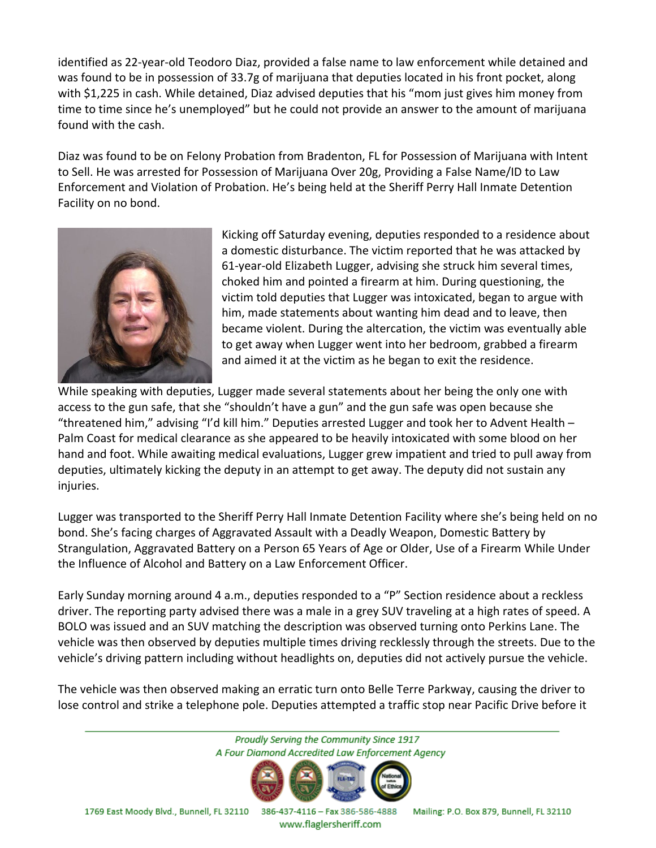identified as 22-year-old Teodoro Diaz, provided a false name to law enforcement while detained and was found to be in possession of 33.7g of marijuana that deputies located in his front pocket, along with \$1,225 in cash. While detained, Diaz advised deputies that his "mom just gives him money from time to time since he's unemployed" but he could not provide an answer to the amount of marijuana found with the cash.

Diaz was found to be on Felony Probation from Bradenton, FL for Possession of Marijuana with Intent to Sell. He was arrested for Possession of Marijuana Over 20g, Providing a False Name/ID to Law Enforcement and Violation of Probation. He's being held at the Sheriff Perry Hall Inmate Detention Facility on no bond.



Kicking off Saturday evening, deputies responded to a residence about a domestic disturbance. The victim reported that he was attacked by 61-year-old Elizabeth Lugger, advising she struck him several times, choked him and pointed a firearm at him. During questioning, the victim told deputies that Lugger was intoxicated, began to argue with him, made statements about wanting him dead and to leave, then became violent. During the altercation, the victim was eventually able to get away when Lugger went into her bedroom, grabbed a firearm and aimed it at the victim as he began to exit the residence.

While speaking with deputies, Lugger made several statements about her being the only one with access to the gun safe, that she "shouldn't have a gun" and the gun safe was open because she "threatened him," advising "I'd kill him." Deputies arrested Lugger and took her to Advent Health – Palm Coast for medical clearance as she appeared to be heavily intoxicated with some blood on her hand and foot. While awaiting medical evaluations, Lugger grew impatient and tried to pull away from deputies, ultimately kicking the deputy in an attempt to get away. The deputy did not sustain any injuries.

Lugger was transported to the Sheriff Perry Hall Inmate Detention Facility where she's being held on no bond. She's facing charges of Aggravated Assault with a Deadly Weapon, Domestic Battery by Strangulation, Aggravated Battery on a Person 65 Years of Age or Older, Use of a Firearm While Under the Influence of Alcohol and Battery on a Law Enforcement Officer.

Early Sunday morning around 4 a.m., deputies responded to a "P" Section residence about a reckless driver. The reporting party advised there was a male in a grey SUV traveling at a high rates of speed. A BOLO was issued and an SUV matching the description was observed turning onto Perkins Lane. The vehicle was then observed by deputies multiple times driving recklessly through the streets. Due to the vehicle's driving pattern including without headlights on, deputies did not actively pursue the vehicle.

The vehicle was then observed making an erratic turn onto Belle Terre Parkway, causing the driver to lose control and strike a telephone pole. Deputies attempted a traffic stop near Pacific Drive before it

Proudly Serving the Community Since 1917 A Four Diamond Accredited Law Enforcement Agency 1769 East Moody Blvd., Bunnell, FL 32110 386-437-4116 - Fax 386-586-4888

www.flaglersheriff.com

Mailing: P.O. Box 879, Bunnell, FL 32110